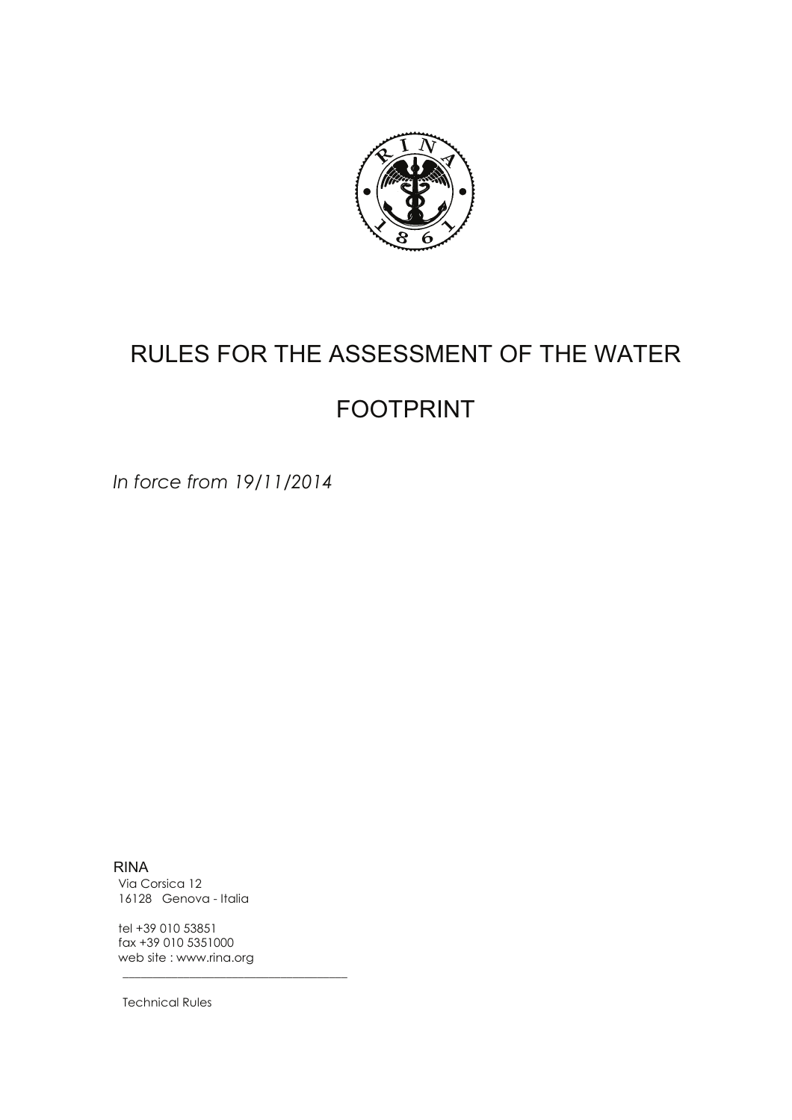

# RULES FOR THE ASSESSMENT OF THE WATER

# FOOTPRINT

In force from 19/11/2014

RINA Via Corsica 12 16128 Genova - Italia

tel +39 010 53851 fax +39 010 5351000 web site : www.rina.org

"""""""""""""""""""""""""""""""""""""

Technical Rules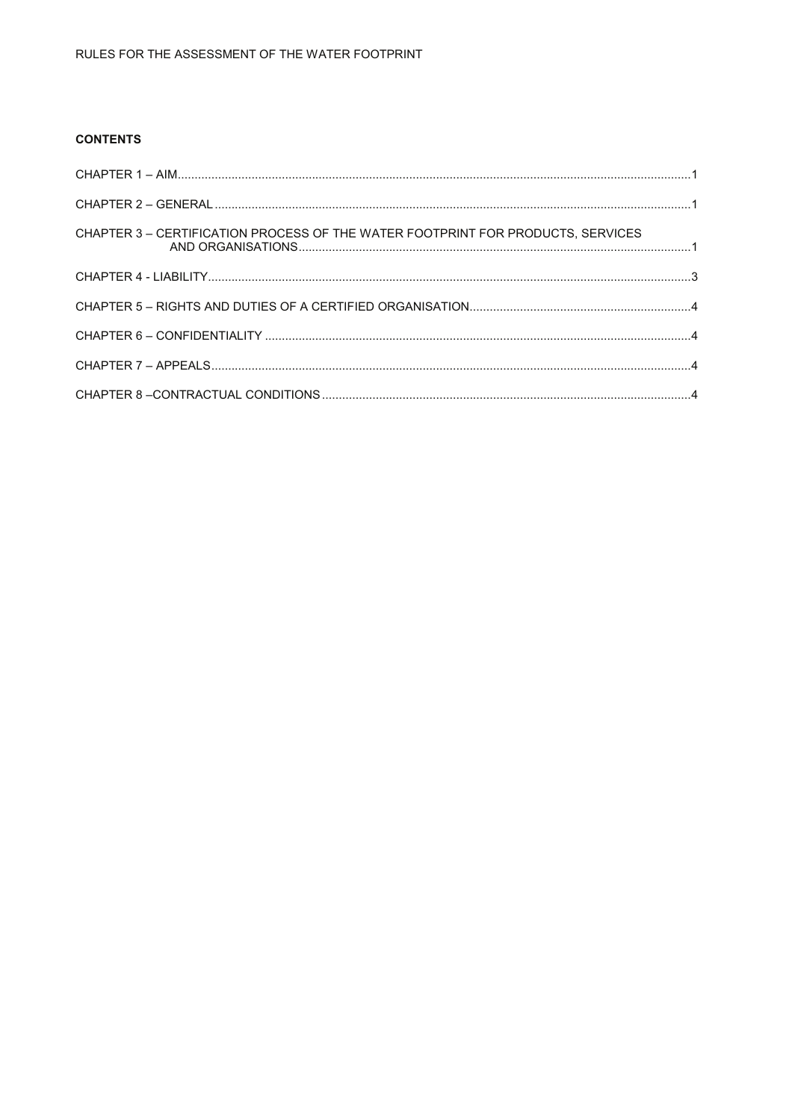# **CONTENTS**

| CHAPTER 3 - CERTIFICATION PROCESS OF THE WATER FOOTPRINT FOR PRODUCTS, SERVICES |  |
|---------------------------------------------------------------------------------|--|
|                                                                                 |  |
|                                                                                 |  |
|                                                                                 |  |
|                                                                                 |  |
|                                                                                 |  |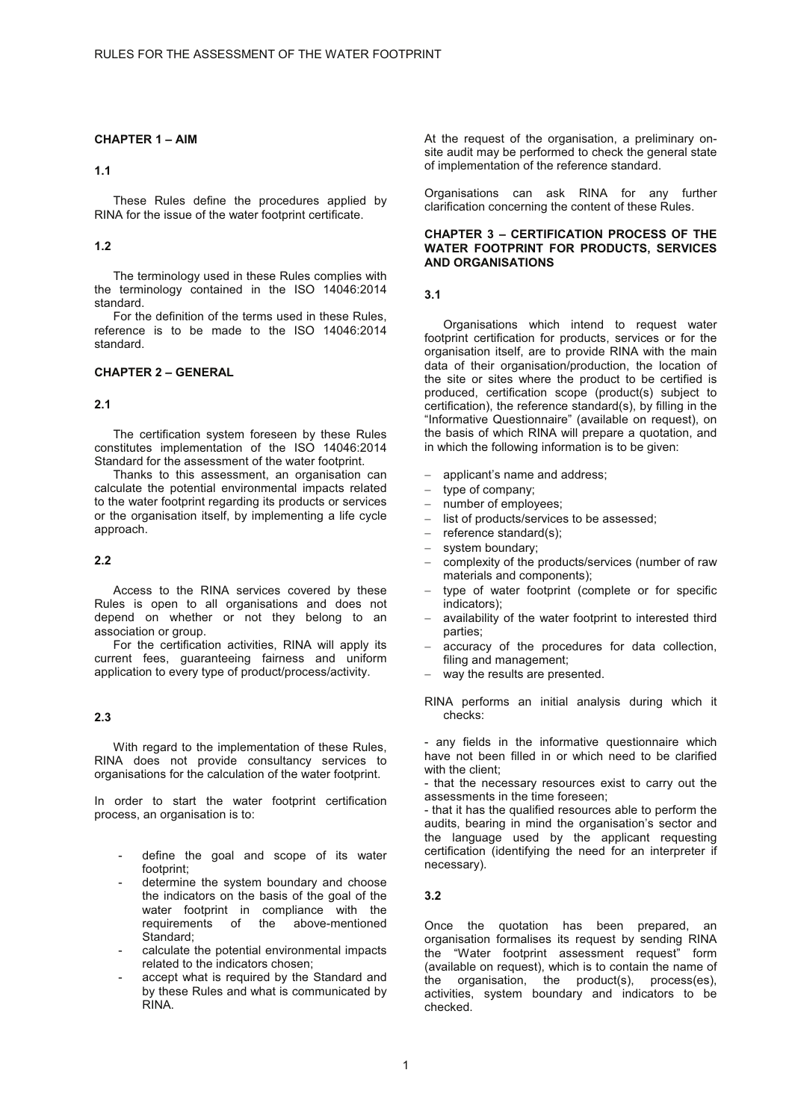# **CHAPTER 1 – AIM**

#### **1.1**

These Rules define the procedures applied by RINA for the issue of the water footprint certificate.

#### **1.2**

The terminology used in these Rules complies with the terminology contained in the ISO 14046:2014 standard.

For the definition of the terms used in these Rules, reference is to be made to the ISO 14046:2014 standard.

# **CHAPTER 2 – GENERAL**

#### **2.1**

The certification system foreseen by these Rules constitutes implementation of the ISO 14046:2014 Standard for the assessment of the water footprint.

Thanks to this assessment, an organisation can calculate the potential environmental impacts related to the water footprint regarding its products or services or the organisation itself, by implementing a life cycle approach.

## **2.2**

Access to the RINA services covered by these Rules is open to all organisations and does not depend on whether or not they belong to an association or group.

For the certification activities, RINA will apply its current fees, guaranteeing fairness and uniform application to every type of product/process/activity.

#### **2.3**

With regard to the implementation of these Rules, RINA does not provide consultancy services to organisations for the calculation of the water footprint.

In order to start the water footprint certification process, an organisation is to:

- define the goal and scope of its water footprint;
- determine the system boundary and choose the indicators on the basis of the goal of the water footprint in compliance with the<br>requirements of the above-mentioned above-mentioned Standard;
- calculate the potential environmental impacts related to the indicators chosen;
- accept what is required by the Standard and by these Rules and what is communicated by RINA.

At the request of the organisation, a preliminary onsite audit may be performed to check the general state of implementation of the reference standard.

Organisations can ask RINA for any further clarification concerning the content of these Rules.

#### **CHAPTER 3 – CERTIFICATION PROCESS OF THE WATER FOOTPRINT FOR PRODUCTS, SERVICES AND ORGANISATIONS**

#### **3.1**

Organisations which intend to request water footprint certification for products, services or for the organisation itself, are to provide RINA with the main data of their organisation/production, the location of the site or sites where the product to be certified is produced, certification scope (product(s) subject to certification), the reference standard(s), by filling in the "Informative Questionnaire" (available on request), on the basis of which RINA will prepare a quotation, and in which the following information is to be given:

- applicant's name and address;
- type of company;
- number of employees;
- list of products/services to be assessed;
- reference standard(s);
- system boundary;
- complexity of the products/services (number of raw materials and components);
- type of water footprint (complete or for specific indicators);
- availability of the water footprint to interested third parties;
- accuracy of the procedures for data collection, filing and management;
- way the results are presented.

RINA performs an initial analysis during which it checks:

- any fields in the informative questionnaire which have not been filled in or which need to be clarified with the client;

- that the necessary resources exist to carry out the assessments in the time foreseen;

- that it has the qualified resources able to perform the audits, bearing in mind the organisation's sector and the language used by the applicant requesting certification (identifying the need for an interpreter if necessary).

#### **3.2**

Once the quotation has been prepared, an organisation formalises its request by sending RINA the "Water footprint assessment request" form (available on request), which is to contain the name of the organisation, the product(s), process(es), activities, system boundary and indicators to be checked.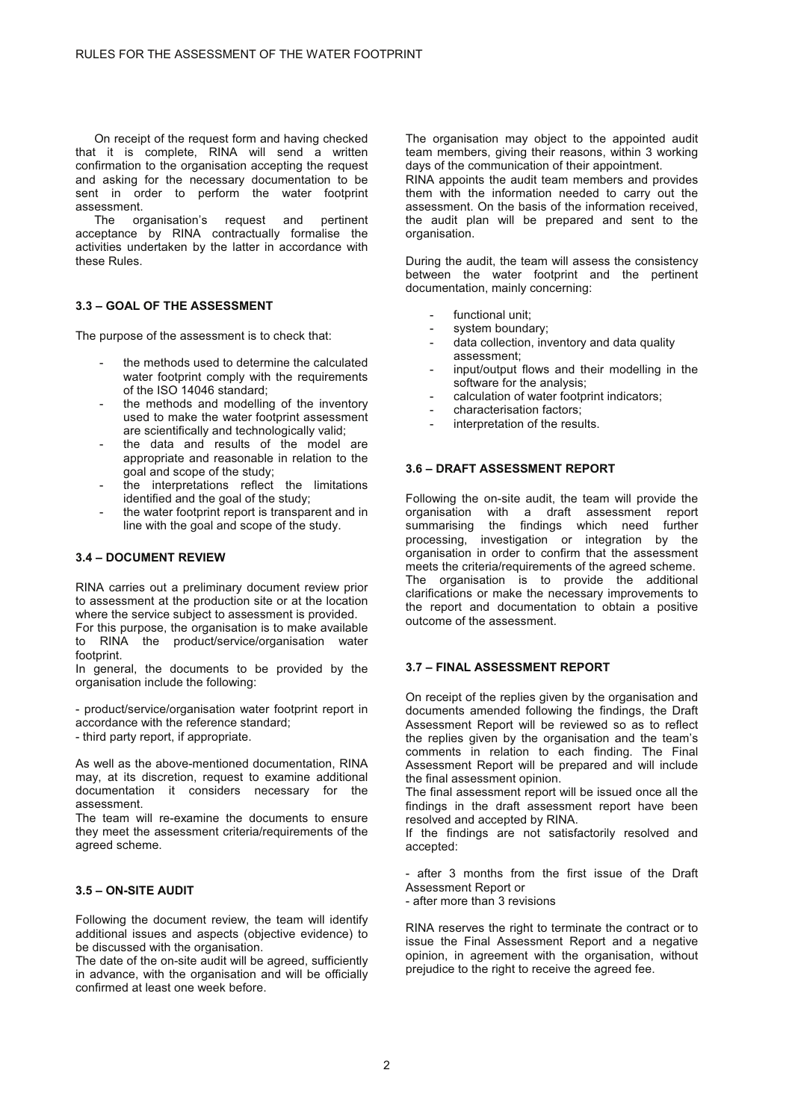On receipt of the request form and having checked that it is complete, RINA will send a written confirmation to the organisation accepting the request and asking for the necessary documentation to be sent in order to perform the water footprint assessment.

The organisation's request and pertinent acceptance by RINA contractually formalise the activities undertaken by the latter in accordance with these Rules.

# **3.3 – GOAL OF THE ASSESSMENT**

The purpose of the assessment is to check that:

- the methods used to determine the calculated water footprint comply with the requirements of the ISO 14046 standard;
- the methods and modelling of the inventory used to make the water footprint assessment are scientifically and technologically valid;
- the data and results of the model are appropriate and reasonable in relation to the goal and scope of the study;
- the interpretations reflect the limitations identified and the goal of the study;
- the water footprint report is transparent and in line with the goal and scope of the study.

#### **3.4 – DOCUMENT REVIEW**

RINA carries out a preliminary document review prior to assessment at the production site or at the location where the service subject to assessment is provided.

For this purpose, the organisation is to make available to RINA the product/service/organisation water footprint.

In general, the documents to be provided by the organisation include the following:

- product/service/organisation water footprint report in accordance with the reference standard; - third party report, if appropriate.

As well as the above-mentioned documentation, RINA may, at its discretion, request to examine additional documentation it considers necessary for the assessment.

The team will re-examine the documents to ensure they meet the assessment criteria/requirements of the agreed scheme.

#### **3.5 – ON-SITE AUDIT**

Following the document review, the team will identify additional issues and aspects (objective evidence) to be discussed with the organisation.

The date of the on-site audit will be agreed, sufficiently in advance, with the organisation and will be officially confirmed at least one week before.

The organisation may object to the appointed audit team members, giving their reasons, within 3 working days of the communication of their appointment.

RINA appoints the audit team members and provides them with the information needed to carry out the assessment. On the basis of the information received, the audit plan will be prepared and sent to the organisation.

During the audit, the team will assess the consistency between the water footprint and the pertinent documentation, mainly concerning:

- functional unit:
- system boundary;
- data collection, inventory and data quality assessment;
- input/output flows and their modelling in the software for the analysis;
- calculation of water footprint indicators;
- characterisation factors:
- interpretation of the results.

#### **3.6 – DRAFT ASSESSMENT REPORT**

Following the on-site audit, the team will provide the organisation with a draft assessment report summarising the findings which need further processing, investigation or integration by the organisation in order to confirm that the assessment meets the criteria/requirements of the agreed scheme. The organisation is to provide the additional clarifications or make the necessary improvements to the report and documentation to obtain a positive outcome of the assessment.

#### **3.7 – FINAL ASSESSMENT REPORT**

On receipt of the replies given by the organisation and documents amended following the findings, the Draft Assessment Report will be reviewed so as to reflect the replies given by the organisation and the team's comments in relation to each finding. The Final Assessment Report will be prepared and will include the final assessment opinion.

The final assessment report will be issued once all the findings in the draft assessment report have been resolved and accepted by RINA.

If the findings are not satisfactorily resolved and accepted:

after 3 months from the first issue of the Draft Assessment Report or

- after more than 3 revisions

RINA reserves the right to terminate the contract or to issue the Final Assessment Report and a negative opinion, in agreement with the organisation, without prejudice to the right to receive the agreed fee.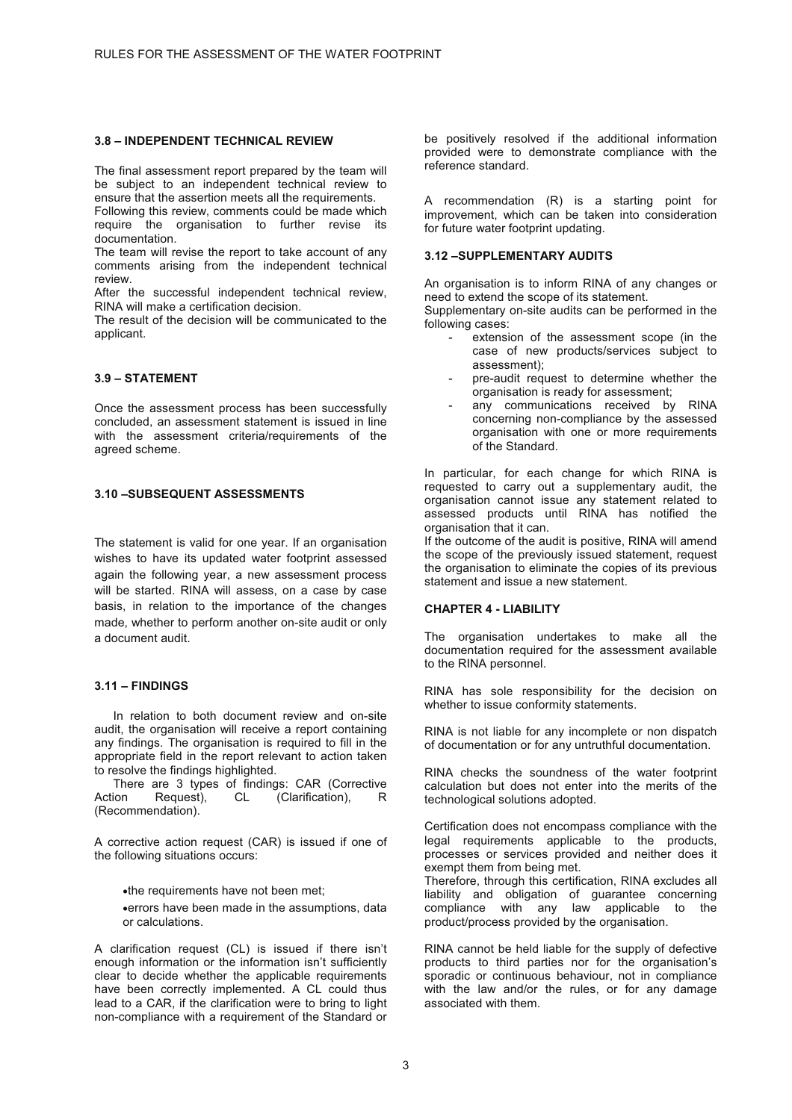#### **3.8 – INDEPENDENT TECHNICAL REVIEW**

The final assessment report prepared by the team will be subject to an independent technical review to ensure that the assertion meets all the requirements.

Following this review, comments could be made which require the organisation to further revise its documentation.

The team will revise the report to take account of any comments arising from the independent technical review.

After the successful independent technical review, RINA will make a certification decision.

The result of the decision will be communicated to the applicant.

#### **3.9 – STATEMENT**

Once the assessment process has been successfully concluded, an assessment statement is issued in line with the assessment criteria/requirements of the agreed scheme.

#### **3.10 –SUBSEQUENT ASSESSMENTS**

The statement is valid for one year. If an organisation wishes to have its updated water footprint assessed again the following year, a new assessment process will be started. RINA will assess, on a case by case basis, in relation to the importance of the changes made, whether to perform another on-site audit or only a document audit.

#### **3.11 – FINDINGS**

In relation to both document review and on-site audit, the organisation will receive a report containing any findings. The organisation is required to fill in the appropriate field in the report relevant to action taken to resolve the findings highlighted.

There are 3 types of findings: CAR (Corrective Action Request), CL (Clarification), R (Recommendation).

A corrective action request (CAR) is issued if one of the following situations occurs:

-the requirements have not been met;

-errors have been made in the assumptions, data or calculations.

A clarification request (CL) is issued if there isn't enough information or the information isn't sufficiently clear to decide whether the applicable requirements have been correctly implemented. A CL could thus lead to a CAR, if the clarification were to bring to light non-compliance with a requirement of the Standard or

be positively resolved if the additional information provided were to demonstrate compliance with the reference standard.

A recommendation (R) is a starting point for improvement, which can be taken into consideration for future water footprint updating.

#### **3.12 –SUPPLEMENTARY AUDITS**

An organisation is to inform RINA of any changes or need to extend the scope of its statement.

Supplementary on-site audits can be performed in the following cases:

- extension of the assessment scope (in the case of new products/services subject to assessment);
- pre-audit request to determine whether the organisation is ready for assessment;
- any communications received by RINA concerning non-compliance by the assessed organisation with one or more requirements of the Standard.

In particular, for each change for which RINA is requested to carry out a supplementary audit, the organisation cannot issue any statement related to assessed products until RINA has notified the organisation that it can.

If the outcome of the audit is positive, RINA will amend the scope of the previously issued statement, request the organisation to eliminate the copies of its previous statement and issue a new statement.

#### **CHAPTER 4 - LIABILITY**

The organisation undertakes to make all the documentation required for the assessment available to the RINA personnel.

RINA has sole responsibility for the decision on whether to issue conformity statements.

RINA is not liable for any incomplete or non dispatch of documentation or for any untruthful documentation.

RINA checks the soundness of the water footprint calculation but does not enter into the merits of the technological solutions adopted.

Certification does not encompass compliance with the legal requirements applicable to the products, processes or services provided and neither does it exempt them from being met.

Therefore, through this certification, RINA excludes all liability and obligation of guarantee concerning compliance with any law applicable to the product/process provided by the organisation.

RINA cannot be held liable for the supply of defective products to third parties nor for the organisation's sporadic or continuous behaviour, not in compliance with the law and/or the rules, or for any damage associated with them.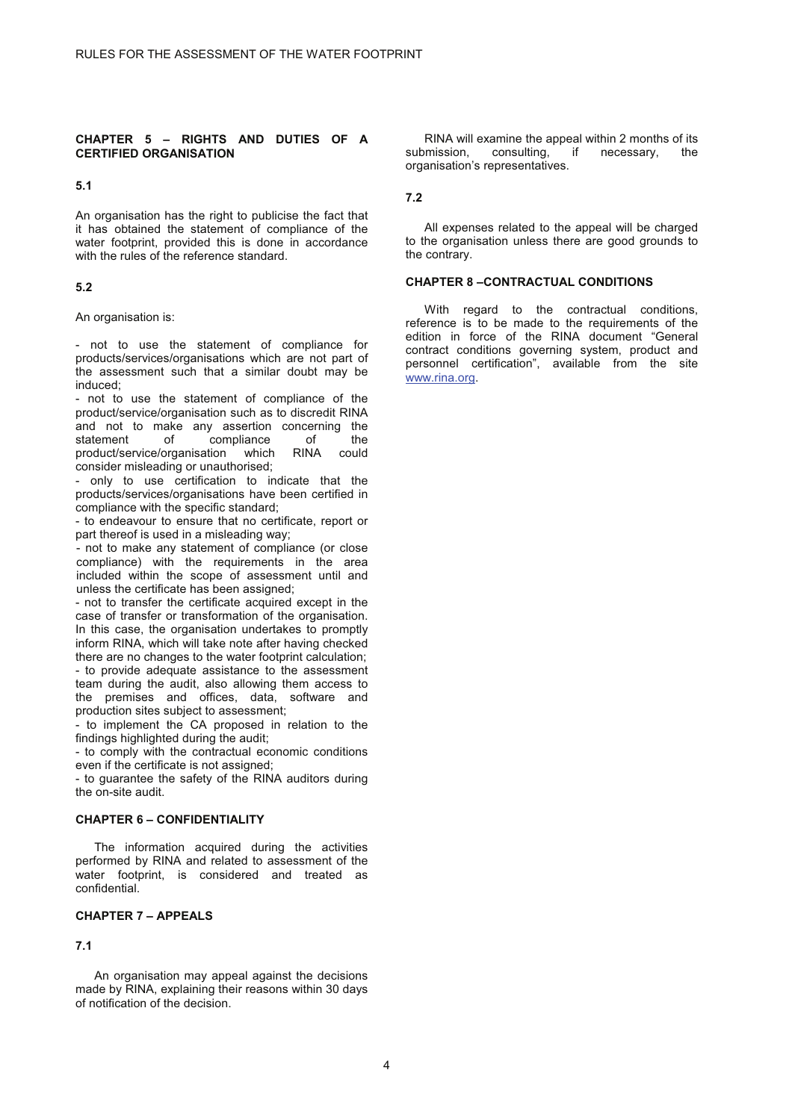#### **CHAPTER 5 – RIGHTS AND DUTIES OF A CERTIFIED ORGANISATION**

#### **5.1**

An organisation has the right to publicise the fact that it has obtained the statement of compliance of the water footprint, provided this is done in accordance with the rules of the reference standard.

#### **5.2**

An organisation is:

- not to use the statement of compliance for products/services/organisations which are not part of the assessment such that a similar doubt may be induced;

- not to use the statement of compliance of the product/service/organisation such as to discredit RINA and not to make any assertion concerning the statement of compliance of the<br>product/service/organisation which RINA could product/service/organisation which RINA could consider misleading or unauthorised;

- only to use certification to indicate that the products/services/organisations have been certified in compliance with the specific standard;

- to endeavour to ensure that no certificate, report or part thereof is used in a misleading way;

- not to make any statement of compliance (or close compliance) with the requirements in the area included within the scope of assessment until and unless the certificate has been assigned;

- not to transfer the certificate acquired except in the case of transfer or transformation of the organisation. In this case, the organisation undertakes to promptly inform RINA, which will take note after having checked there are no changes to the water footprint calculation; - to provide adequate assistance to the assessment team during the audit, also allowing them access to the premises and offices, data, software and

production sites subject to assessment; - to implement the CA proposed in relation to the findings highlighted during the audit;

- to comply with the contractual economic conditions even if the certificate is not assigned;

- to guarantee the safety of the RINA auditors during the on-site audit.

#### **CHAPTER 6 – CONFIDENTIALITY**

The information acquired during the activities performed by RINA and related to assessment of the water footprint, is considered and treated as confidential.

# **CHAPTER 7 – APPEALS**

#### **7.1**

An organisation may appeal against the decisions made by RINA, explaining their reasons within 30 days of notification of the decision.

RINA will examine the appeal within 2 months of its<br>
inission, consulting, if necessary, the submission, organisation's representatives.

**7.2** 

All expenses related to the appeal will be charged to the organisation unless there are good grounds to the contrary.

#### **CHAPTER 8 –CONTRACTUAL CONDITIONS**

With regard to the contractual conditions, reference is to be made to the requirements of the edition in force of the RINA document "General contract conditions governing system, product and personnel certification", available from the site www.rina.org.